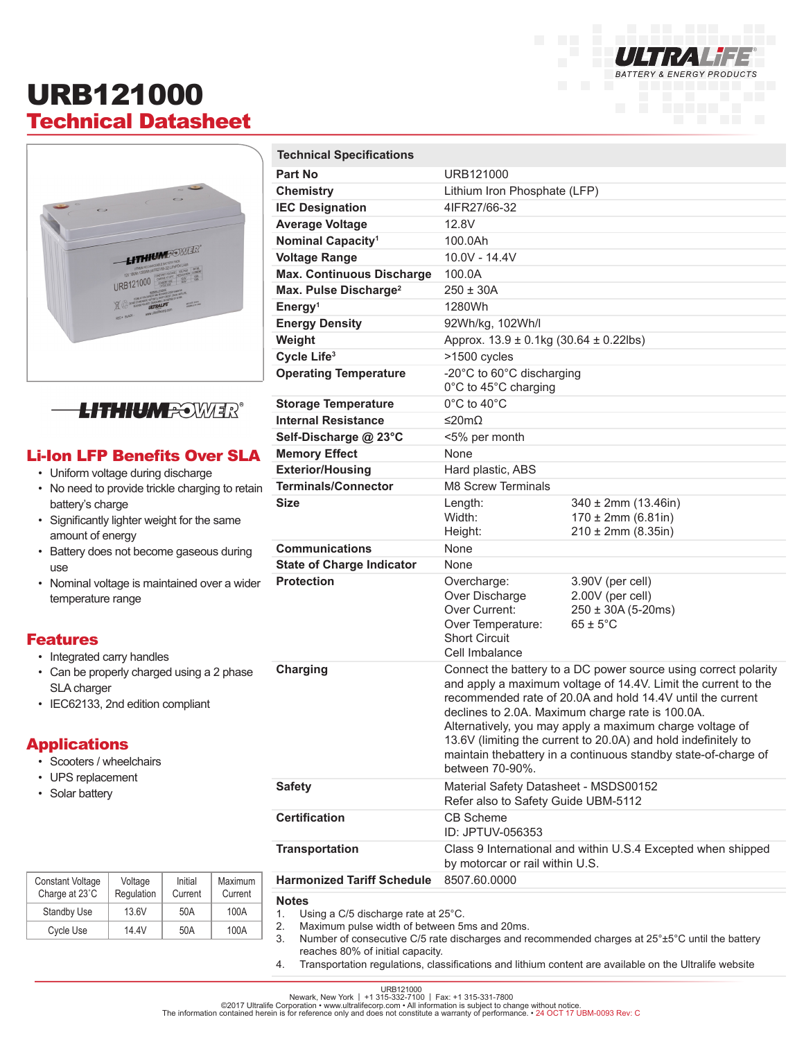## URB121000 Technical Datasheet

**Technical Specifications**





### Li-Ion LFP Benefits Over SLA

- Uniform voltage during discharge
- No need to provide trickle charging to retain battery's charge
- Significantly lighter weight for the same amount of energy
- Battery does not become gaseous during use
- Nominal voltage is maintained over a wider temperature range

#### Features

- Integrated carry handles
- Can be properly charged using a 2 phase SLA charger
- IEC62133, 2nd edition compliant

Voltage **Regulation** 

Standby Use | 13.6V | 50A | 100A Cycle Use | 14.4V | 50A | 100A

Initial Current Maximum Current

#### Applications

- Scooters / wheelchairs
- UPS replacement
- Solar battery

Constant Voltage Charge at 23˚C

| <b>Part No</b>                                                                                                                                                                                                                                              | URB121000                                                                                                                                                                                                                                                                                                                                                                                                                                                              |                                                                                        |  |
|-------------------------------------------------------------------------------------------------------------------------------------------------------------------------------------------------------------------------------------------------------------|------------------------------------------------------------------------------------------------------------------------------------------------------------------------------------------------------------------------------------------------------------------------------------------------------------------------------------------------------------------------------------------------------------------------------------------------------------------------|----------------------------------------------------------------------------------------|--|
| <b>Chemistry</b>                                                                                                                                                                                                                                            | Lithium Iron Phosphate (LFP)                                                                                                                                                                                                                                                                                                                                                                                                                                           |                                                                                        |  |
| <b>IEC Designation</b>                                                                                                                                                                                                                                      | 4IFR27/66-32                                                                                                                                                                                                                                                                                                                                                                                                                                                           |                                                                                        |  |
| <b>Average Voltage</b>                                                                                                                                                                                                                                      | 12.8V                                                                                                                                                                                                                                                                                                                                                                                                                                                                  |                                                                                        |  |
| Nominal Capacity <sup>1</sup>                                                                                                                                                                                                                               | 100.0Ah                                                                                                                                                                                                                                                                                                                                                                                                                                                                |                                                                                        |  |
| <b>Voltage Range</b>                                                                                                                                                                                                                                        | 10.0V - 14.4V                                                                                                                                                                                                                                                                                                                                                                                                                                                          |                                                                                        |  |
| <b>Max. Continuous Discharge</b>                                                                                                                                                                                                                            | 100.0A                                                                                                                                                                                                                                                                                                                                                                                                                                                                 |                                                                                        |  |
| Max. Pulse Discharge <sup>2</sup>                                                                                                                                                                                                                           | $250 \pm 30A$                                                                                                                                                                                                                                                                                                                                                                                                                                                          |                                                                                        |  |
| Energy <sup>1</sup>                                                                                                                                                                                                                                         | 1280Wh                                                                                                                                                                                                                                                                                                                                                                                                                                                                 |                                                                                        |  |
| <b>Energy Density</b>                                                                                                                                                                                                                                       | 92Wh/kg, 102Wh/l                                                                                                                                                                                                                                                                                                                                                                                                                                                       |                                                                                        |  |
| Weight                                                                                                                                                                                                                                                      |                                                                                                                                                                                                                                                                                                                                                                                                                                                                        | Approx. $13.9 \pm 0.1$ kg (30.64 $\pm$ 0.22lbs)                                        |  |
| Cycle Life <sup>3</sup>                                                                                                                                                                                                                                     | >1500 cycles                                                                                                                                                                                                                                                                                                                                                                                                                                                           |                                                                                        |  |
| <b>Operating Temperature</b>                                                                                                                                                                                                                                | -20°C to 60°C discharging<br>0°C to 45°C charging                                                                                                                                                                                                                                                                                                                                                                                                                      |                                                                                        |  |
| <b>Storage Temperature</b>                                                                                                                                                                                                                                  | $0^{\circ}$ C to 40 $^{\circ}$ C                                                                                                                                                                                                                                                                                                                                                                                                                                       |                                                                                        |  |
| <b>Internal Resistance</b>                                                                                                                                                                                                                                  | ≤20mΩ                                                                                                                                                                                                                                                                                                                                                                                                                                                                  |                                                                                        |  |
| Self-Discharge @ 23°C                                                                                                                                                                                                                                       | <5% per month                                                                                                                                                                                                                                                                                                                                                                                                                                                          |                                                                                        |  |
| <b>Memory Effect</b>                                                                                                                                                                                                                                        | None                                                                                                                                                                                                                                                                                                                                                                                                                                                                   |                                                                                        |  |
| <b>Exterior/Housing</b>                                                                                                                                                                                                                                     | Hard plastic, ABS                                                                                                                                                                                                                                                                                                                                                                                                                                                      |                                                                                        |  |
| <b>Terminals/Connector</b><br>J.                                                                                                                                                                                                                            | <b>M8 Screw Terminals</b>                                                                                                                                                                                                                                                                                                                                                                                                                                              |                                                                                        |  |
| <b>Size</b>                                                                                                                                                                                                                                                 | Length:<br>Width:<br>Height:                                                                                                                                                                                                                                                                                                                                                                                                                                           | $340 \pm 2$ mm (13.46in)<br>$170 \pm 2$ mm (6.81in)<br>$210 \pm 2$ mm (8.35in)         |  |
| <b>Communications</b>                                                                                                                                                                                                                                       | None                                                                                                                                                                                                                                                                                                                                                                                                                                                                   |                                                                                        |  |
| <b>State of Charge Indicator</b>                                                                                                                                                                                                                            | None                                                                                                                                                                                                                                                                                                                                                                                                                                                                   |                                                                                        |  |
| <b>Protection</b>                                                                                                                                                                                                                                           | Overcharge:<br>Over Discharge<br>Over Current:<br>Over Temperature:<br><b>Short Circuit</b><br>Cell Imbalance                                                                                                                                                                                                                                                                                                                                                          | 3.90V (per cell)<br>2.00V (per cell)<br>$250 \pm 30A (5-20ms)$<br>$65 \pm 5^{\circ}$ C |  |
| <b>Charging</b>                                                                                                                                                                                                                                             | Connect the battery to a DC power source using correct polarity<br>and apply a maximum voltage of 14.4V. Limit the current to the<br>recommended rate of 20.0A and hold 14.4V until the current<br>declines to 2.0A. Maximum charge rate is 100.0A.<br>Alternatively, you may apply a maximum charge voltage of<br>13.6V (limiting the current to 20.0A) and hold indefinitely to<br>maintain thebattery in a continuous standby state-of-charge of<br>between 70-90%. |                                                                                        |  |
| <b>Safety</b>                                                                                                                                                                                                                                               | Material Safety Datasheet - MSDS00152<br>Refer also to Safety Guide UBM-5112                                                                                                                                                                                                                                                                                                                                                                                           |                                                                                        |  |
| <b>Certification</b>                                                                                                                                                                                                                                        | <b>CB Scheme</b><br>ID: JPTUV-056353                                                                                                                                                                                                                                                                                                                                                                                                                                   |                                                                                        |  |
| <b>Transportation</b>                                                                                                                                                                                                                                       | Class 9 International and within U.S.4 Excepted when shipped<br>by motorcar or rail within U.S.                                                                                                                                                                                                                                                                                                                                                                        |                                                                                        |  |
| <b>Harmonized Tariff Schedule</b>                                                                                                                                                                                                                           | 8507.60.0000                                                                                                                                                                                                                                                                                                                                                                                                                                                           |                                                                                        |  |
| <b>Notes</b><br>1.<br>Using a C/5 discharge rate at 25°C.<br>Maximum pulse width of between 5ms and 20ms.<br>2.<br>Number of consecutive C/5 rate discharges and recommended charges at 25°±5°C until the battery<br>3.<br>reaches 80% of initial capacity. |                                                                                                                                                                                                                                                                                                                                                                                                                                                                        |                                                                                        |  |

**BATTERY & ENERGY PRODUCTS** 

4. Transportation regulations, classifications and lithium content are available on the Ultralife website

URB121000<br>©2017 Ultralife Corporation • www.ultralifecorp.com • 1 315-331-7800<br>The information contained herein is for reference only and does not constitute a warranty of performance. • 24 OCT 17 UBM-0093 Rev: C<br>The info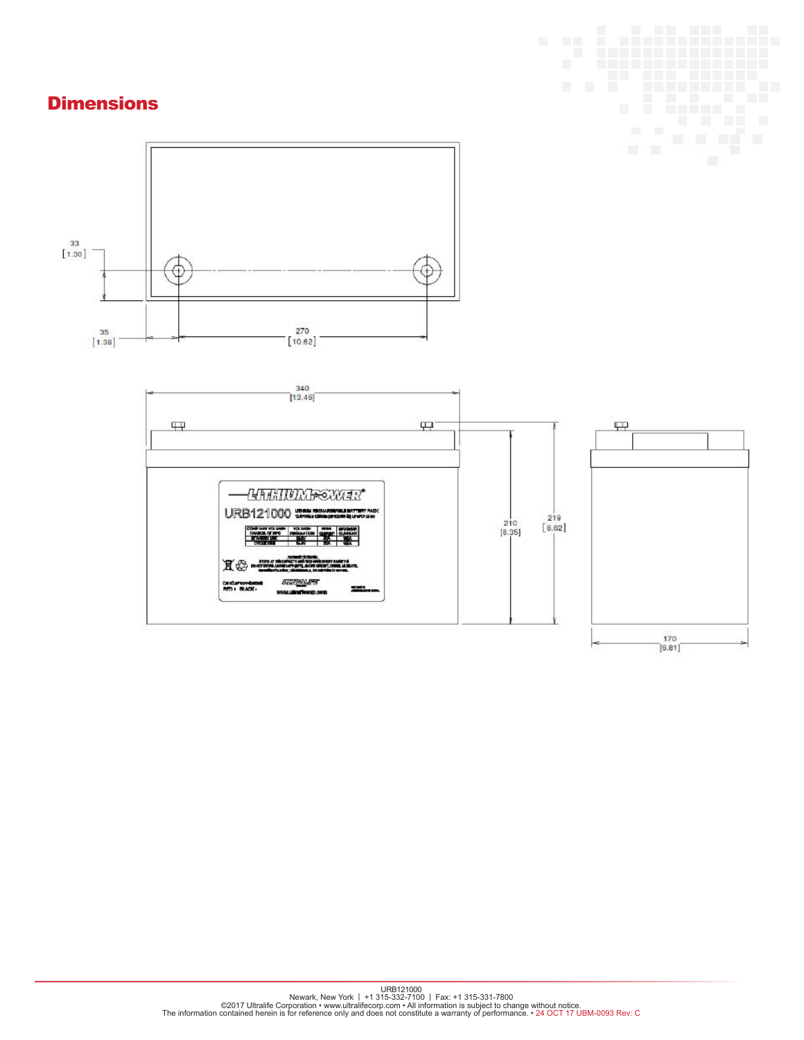### **Dimensions**